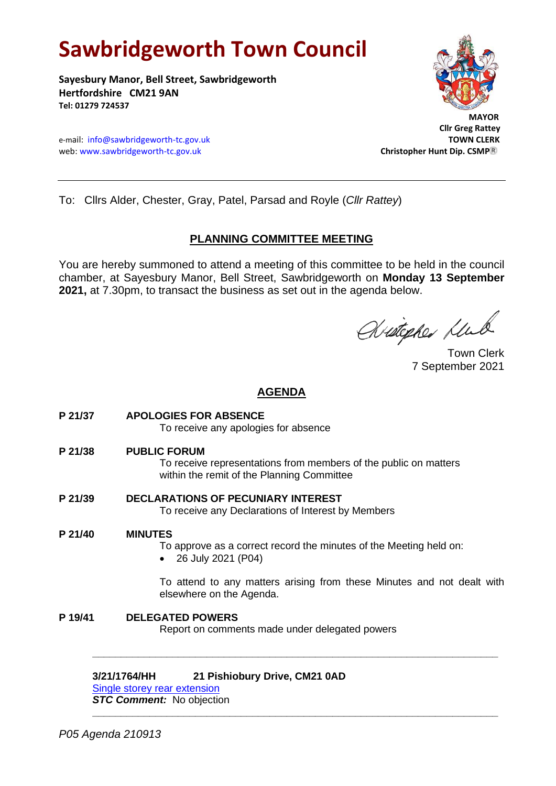# **Sawbridgeworth Town Council**

**Sayesbury Manor, Bell Street, Sawbridgeworth Hertfordshire CM21 9AN Tel: 01279 724537**





 **Cllr Greg Rattey**

To: Cllrs Alder, Chester, Gray, Patel, Parsad and Royle (*Cllr Rattey*)

## **PLANNING COMMITTEE MEETING**

You are hereby summoned to attend a meeting of this committee to be held in the council chamber, at Sayesbury Manor, Bell Street, Sawbridgeworth on **Monday 13 September 2021,** at 7.30pm, to transact the business as set out in the agenda below.

Aritopher Mul

Town Clerk 7 September 2021

# **AGENDA**

- **P 21/37 APOLOGIES FOR ABSENCE** To receive any apologies for absence
- **P 21/38 PUBLIC FORUM**

To receive representations from members of the public on matters within the remit of the Planning Committee

**P 21/39 DECLARATIONS OF PECUNIARY INTEREST** To receive any Declarations of Interest by Members

## **P 21/40 MINUTES**

To approve as a correct record the minutes of the Meeting held on:

• 26 July 2021 (P04)

To attend to any matters arising from these Minutes and not dealt with elsewhere on the Agenda.

**P 19/41 DELEGATED POWERS**

Report on comments made under delegated powers

**\_\_\_\_\_\_\_\_\_\_\_\_\_\_\_\_\_\_\_\_\_\_\_\_\_\_\_\_\_\_\_\_\_\_\_\_\_\_\_\_\_\_\_\_\_\_\_\_\_\_\_\_\_\_\_\_\_\_\_\_\_\_\_\_\_\_\_\_\_\_\_**

**\_\_\_\_\_\_\_\_\_\_\_\_\_\_\_\_\_\_\_\_\_\_\_\_\_\_\_\_\_\_\_\_\_\_\_\_\_\_\_\_\_\_\_\_\_\_\_\_\_\_\_\_\_\_\_\_\_\_\_\_\_\_\_\_\_\_\_\_\_\_\_**

## **3/21/1764/HH 21 Pishiobury Drive, CM21 0AD**

[Single storey rear extension](https://publicaccess.eastherts.gov.uk/online-applications/applicationDetails.do?activeTab=documents&keyVal=QVRHP0GL00X00)

*STC Comment:* No objection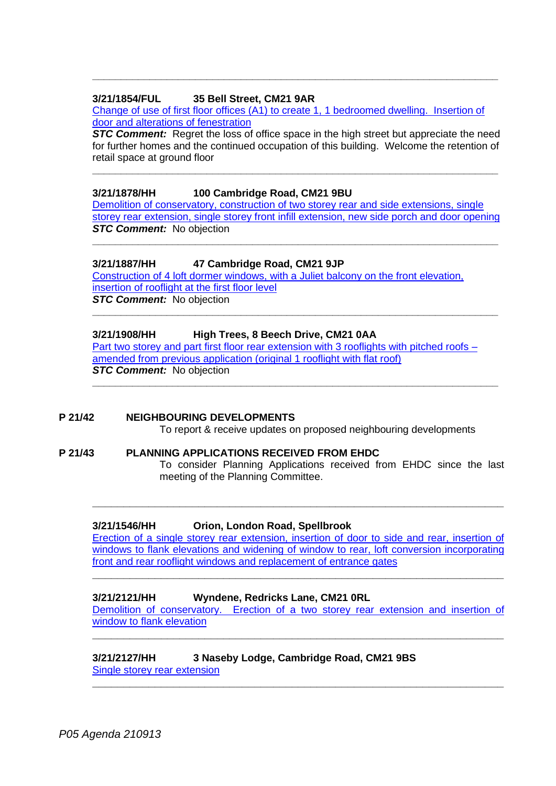## **3/21/1854/FUL 35 Bell Street, CM21 9AR**

[Change of use of first floor offices \(A1\) to create 1, 1 bedroomed dwelling. Insertion of](https://publicaccess.eastherts.gov.uk/online-applications/applicationDetails.do?activeTab=documents&keyVal=QW68WEGLG1G00)  [door and alterations of fenestration](https://publicaccess.eastherts.gov.uk/online-applications/applicationDetails.do?activeTab=documents&keyVal=QW68WEGLG1G00)

**\_\_\_\_\_\_\_\_\_\_\_\_\_\_\_\_\_\_\_\_\_\_\_\_\_\_\_\_\_\_\_\_\_\_\_\_\_\_\_\_\_\_\_\_\_\_\_\_\_\_\_\_\_\_\_\_\_\_\_\_\_\_\_\_\_\_\_\_\_\_\_**

**STC Comment:** Regret the loss of office space in the high street but appreciate the need for further homes and the continued occupation of this building. Welcome the retention of retail space at ground floor

**\_\_\_\_\_\_\_\_\_\_\_\_\_\_\_\_\_\_\_\_\_\_\_\_\_\_\_\_\_\_\_\_\_\_\_\_\_\_\_\_\_\_\_\_\_\_\_\_\_\_\_\_\_\_\_\_\_\_\_\_\_\_\_\_\_\_\_\_\_\_\_**

## **3/21/1878/HH 100 Cambridge Road, CM21 9BU**

[Demolition of conservatory, construction of two storey rear and side extensions, single](https://publicaccess.eastherts.gov.uk/online-applications/applicationDetails.do?activeTab=documents&keyVal=QWA9AHGLG3300)  [storey rear extension, single storey front infill extension, new side porch and door opening](https://publicaccess.eastherts.gov.uk/online-applications/applicationDetails.do?activeTab=documents&keyVal=QWA9AHGLG3300) **STC Comment:** No objection

**\_\_\_\_\_\_\_\_\_\_\_\_\_\_\_\_\_\_\_\_\_\_\_\_\_\_\_\_\_\_\_\_\_\_\_\_\_\_\_\_\_\_\_\_\_\_\_\_\_\_\_\_\_\_\_\_\_\_\_\_\_\_\_\_\_\_\_\_\_\_\_**

**\_\_\_\_\_\_\_\_\_\_\_\_\_\_\_\_\_\_\_\_\_\_\_\_\_\_\_\_\_\_\_\_\_\_\_\_\_\_\_\_\_\_\_\_\_\_\_\_\_\_\_\_\_\_\_\_\_\_\_\_\_\_\_\_\_\_\_\_\_\_\_**

**\_\_\_\_\_\_\_\_\_\_\_\_\_\_\_\_\_\_\_\_\_\_\_\_\_\_\_\_\_\_\_\_\_\_\_\_\_\_\_\_\_\_\_\_\_\_\_\_\_\_\_\_\_\_\_\_\_\_\_\_\_\_\_\_\_\_\_\_\_\_\_**

#### **3/21/1887/HH 47 Cambridge Road, CM21 9JP**

[Construction of 4 loft dormer windows, with a Juliet balcony on the front elevation,](https://publicaccess.eastherts.gov.uk/online-applications/applicationDetails.do?activeTab=documents&keyVal=QWBSSBGLG3M00)  [insertion of rooflight at the first floor level](https://publicaccess.eastherts.gov.uk/online-applications/applicationDetails.do?activeTab=documents&keyVal=QWBSSBGLG3M00) *STC Comment:* No objection

#### **3/21/1908/HH High Trees, 8 Beech Drive, CM21 0AA**

[Part two storey and part first floor rear extension with 3 rooflights with pitched roofs](https://publicaccess.eastherts.gov.uk/online-applications/applicationDetails.do?keyVal=QWHNZHGLG5000&activeTab=summary) – [amended from previous application \(original 1 rooflight with flat roof\)](https://publicaccess.eastherts.gov.uk/online-applications/applicationDetails.do?keyVal=QWHNZHGLG5000&activeTab=summary) **STC Comment:** No objection

#### **P 21/42 NEIGHBOURING DEVELOPMENTS**

To report & receive updates on proposed neighbouring developments

#### **P 21/43 PLANNING APPLICATIONS RECEIVED FROM EHDC**

To consider Planning Applications received from EHDC since the last meeting of the Planning Committee.

#### **3/21/1546/HH Orion, London Road, Spellbrook**

[Erection of a single storey rear extension, insertion of door to side and rear, insertion of](https://publicaccess.eastherts.gov.uk/online-applications/applicationDetails.do?activeTab=documents&keyVal=QUHFZFGLFG300)  windows to flank elevations and widening of window to rear, loft conversion incorporating [front and rear rooflight windows and replacement of entrance gates](https://publicaccess.eastherts.gov.uk/online-applications/applicationDetails.do?activeTab=documents&keyVal=QUHFZFGLFG300)

**\_\_\_\_\_\_\_\_\_\_\_\_\_\_\_\_\_\_\_\_\_\_\_\_\_\_\_\_\_\_\_\_\_\_\_\_\_\_\_\_\_\_\_\_\_\_\_\_\_\_\_\_\_\_\_\_\_\_\_\_\_\_\_\_\_\_**

**\_\_\_\_\_\_\_\_\_\_\_\_\_\_\_\_\_\_\_\_\_\_\_\_\_\_\_\_\_\_\_\_\_\_\_\_\_\_\_\_\_\_\_\_\_\_\_\_\_\_\_\_\_\_\_\_\_\_\_\_\_\_\_\_\_\_**

#### **3/21/2121/HH Wyndene, Redricks Lane, CM21 0RL**

[Demolition of conservatory. Erection of a two storey rear extension and insertion of](https://publicaccess.eastherts.gov.uk/online-applications/applicationDetails.do?activeTab=documents&keyVal=QXNY7VGLGJ400)  [window to flank elevation](https://publicaccess.eastherts.gov.uk/online-applications/applicationDetails.do?activeTab=documents&keyVal=QXNY7VGLGJ400)

**\_\_\_\_\_\_\_\_\_\_\_\_\_\_\_\_\_\_\_\_\_\_\_\_\_\_\_\_\_\_\_\_\_\_\_\_\_\_\_\_\_\_\_\_\_\_\_\_\_\_\_\_\_\_\_\_\_\_\_\_\_\_\_\_\_\_**

**\_\_\_\_\_\_\_\_\_\_\_\_\_\_\_\_\_\_\_\_\_\_\_\_\_\_\_\_\_\_\_\_\_\_\_\_\_\_\_\_\_\_\_\_\_\_\_\_\_\_\_\_\_\_\_\_\_\_\_\_\_\_\_\_\_\_**

#### **3/21/2127/HH 3 Naseby Lodge, Cambridge Road, CM21 9BS** [Single storey rear extension](https://publicaccess.eastherts.gov.uk/online-applications/applicationDetails.do?activeTab=documents&keyVal=QXOKGOGLGJI00)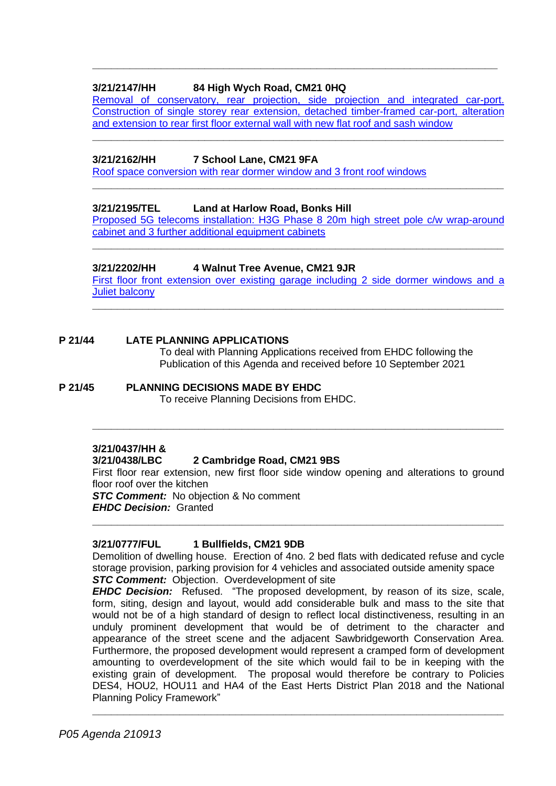## **3/21/2147/HH 84 High Wych Road, CM21 0HQ**

Removal of conservatory, rear projection, side projection and integrated car-port. [Construction of single storey rear extension,](https://publicaccess.eastherts.gov.uk/online-applications/applicationDetails.do?activeTab=documents&keyVal=QXU4EEGLGL200) detached timber-framed car-port, alteration [and extension to rear first floor external wall with new flat roof and sash window](https://publicaccess.eastherts.gov.uk/online-applications/applicationDetails.do?activeTab=documents&keyVal=QXU4EEGLGL200)

**\_\_\_\_\_\_\_\_\_\_\_\_\_\_\_\_\_\_\_\_\_\_\_\_\_\_\_\_\_\_\_\_\_\_\_\_\_\_\_\_\_\_\_\_\_\_\_\_\_\_\_\_\_\_\_\_\_\_\_\_\_\_\_\_\_\_**

**\_\_\_\_\_\_\_\_\_\_\_\_\_\_\_\_\_\_\_\_\_\_\_\_\_\_\_\_\_\_\_\_\_\_\_\_\_\_\_\_\_\_\_\_\_\_\_\_\_\_\_\_\_\_\_\_\_\_\_\_\_\_\_\_\_**

## **3/21/2162/HH 7 School Lane, CM21 9FA**

[Roof space conversion with rear dormer window and 3 front roof windows](https://publicaccess.eastherts.gov.uk/online-applications/applicationDetails.do?activeTab=documents&keyVal=QXZD98GLGM200)

## **3/21/2195/TEL Land at Harlow Road, Bonks Hill**

[Proposed 5G telecoms installation: H3G Phase 8 20m high](https://publicaccess.eastherts.gov.uk/online-applications/applicationDetails.do?activeTab=documents&keyVal=QY4X8TGLGOH00) street pole c/w wrap-around cabinet [and 3 further additional equipment cabinets](https://publicaccess.eastherts.gov.uk/online-applications/applicationDetails.do?activeTab=documents&keyVal=QY4X8TGLGOH00)

**\_\_\_\_\_\_\_\_\_\_\_\_\_\_\_\_\_\_\_\_\_\_\_\_\_\_\_\_\_\_\_\_\_\_\_\_\_\_\_\_\_\_\_\_\_\_\_\_\_\_\_\_\_\_\_\_\_\_\_\_\_\_\_\_\_\_**

**\_\_\_\_\_\_\_\_\_\_\_\_\_\_\_\_\_\_\_\_\_\_\_\_\_\_\_\_\_\_\_\_\_\_\_\_\_\_\_\_\_\_\_\_\_\_\_\_\_\_\_\_\_\_\_\_\_\_\_\_\_\_\_\_\_\_**

## **3/21/2202/HH 4 Walnut Tree Avenue, CM21 9JR**

[First floor front extension over existing garage including 2 side dormer windows and](https://publicaccess.eastherts.gov.uk/online-applications/applicationDetails.do?activeTab=documents&keyVal=QY732JGLGP000) a Juliet [balcony](https://publicaccess.eastherts.gov.uk/online-applications/applicationDetails.do?activeTab=documents&keyVal=QY732JGLGP000)

**\_\_\_\_\_\_\_\_\_\_\_\_\_\_\_\_\_\_\_\_\_\_\_\_\_\_\_\_\_\_\_\_\_\_\_\_\_\_\_\_\_\_\_\_\_\_\_\_\_\_\_\_\_\_\_\_\_\_\_\_\_\_\_\_\_\_**

## **P 21/44 LATE PLANNING APPLICATIONS**

To deal with Planning Applications received from EHDC following the Publication of this Agenda and received before 10 September 2021

## **P 21/45 PLANNING DECISIONS MADE BY EHDC** To receive Planning Decisions from EHDC.

## **3/21/0437/HH &**

## **3/21/0438/LBC 2 Cambridge Road, CM21 9BS**

First floor rear extension, new first floor side window opening and alterations to ground floor roof over the kitchen

**\_\_\_\_\_\_\_\_\_\_\_\_\_\_\_\_\_\_\_\_\_\_\_\_\_\_\_\_\_\_\_\_\_\_\_\_\_\_\_\_\_\_\_\_\_\_\_\_\_\_\_\_\_\_\_\_\_\_\_\_\_\_\_\_\_\_**

**\_\_\_\_\_\_\_\_\_\_\_\_\_\_\_\_\_\_\_\_\_\_\_\_\_\_\_\_\_\_\_\_\_\_\_\_\_\_\_\_\_\_\_\_\_\_\_\_\_\_\_\_\_\_\_\_\_\_\_\_\_\_\_\_\_\_**

**STC Comment:** No objection & No comment *EHDC Decision:* Granted

## **3/21/0777/FUL 1 Bullfields, CM21 9DB**

Demolition of dwelling house. Erection of 4no. 2 bed flats with dedicated refuse and cycle storage provision, parking provision for 4 vehicles and associated outside amenity space **STC Comment:** Objection. Overdevelopment of site

*EHDC Decision:* Refused. "The proposed development, by reason of its size, scale, form, siting, design and layout, would add considerable bulk and mass to the site that would not be of a high standard of design to reflect local distinctiveness, resulting in an unduly prominent development that would be of detriment to the character and appearance of the street scene and the adjacent Sawbridgeworth Conservation Area. Furthermore, the proposed development would represent a cramped form of development amounting to overdevelopment of the site which would fail to be in keeping with the existing grain of development. The proposal would therefore be contrary to Policies DES4, HOU2, HOU11 and HA4 of the East Herts District Plan 2018 and the National Planning Policy Framework"

**\_\_\_\_\_\_\_\_\_\_\_\_\_\_\_\_\_\_\_\_\_\_\_\_\_\_\_\_\_\_\_\_\_\_\_\_\_\_\_\_\_\_\_\_\_\_\_\_\_\_\_\_\_\_\_\_\_\_\_\_\_\_\_\_\_\_**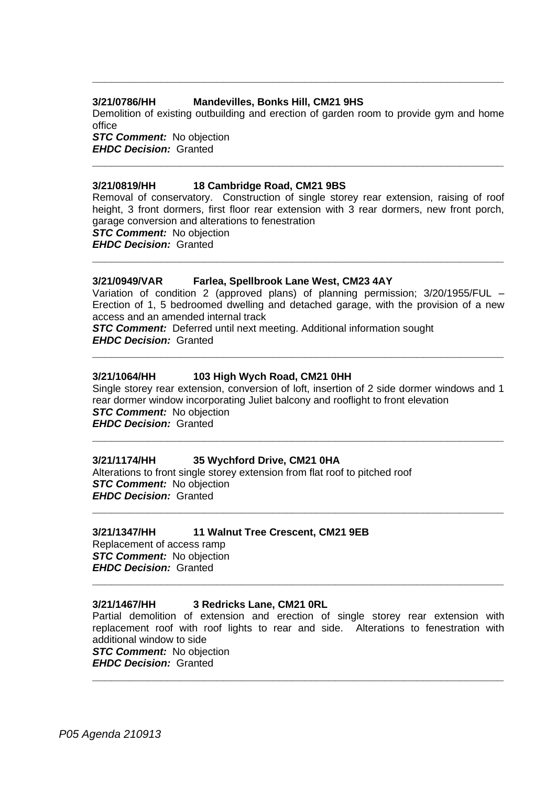#### **3/21/0786/HH Mandevilles, Bonks Hill, CM21 9HS**

Demolition of existing outbuilding and erection of garden room to provide gym and home office

**\_\_\_\_\_\_\_\_\_\_\_\_\_\_\_\_\_\_\_\_\_\_\_\_\_\_\_\_\_\_\_\_\_\_\_\_\_\_\_\_\_\_\_\_\_\_\_\_\_\_\_\_\_\_\_\_\_\_\_\_\_\_\_\_\_\_**

**STC Comment:** No objection *EHDC Decision:* Granted **\_\_\_\_\_\_\_\_\_\_\_\_\_\_\_\_\_\_\_\_\_\_\_\_\_\_\_\_\_\_\_\_\_\_\_\_\_\_\_\_\_\_\_\_\_\_\_\_\_\_\_\_\_\_\_\_\_\_\_\_\_\_\_\_\_\_**

#### **3/21/0819/HH 18 Cambridge Road, CM21 9BS**

Removal of conservatory. Construction of single storey rear extension, raising of roof height, 3 front dormers, first floor rear extension with 3 rear dormers, new front porch, garage conversion and alterations to fenestration *STC Comment:* No objection *EHDC Decision:* Granted

**\_\_\_\_\_\_\_\_\_\_\_\_\_\_\_\_\_\_\_\_\_\_\_\_\_\_\_\_\_\_\_\_\_\_\_\_\_\_\_\_\_\_\_\_\_\_\_\_\_\_\_\_\_\_\_\_\_\_\_\_\_\_\_\_\_\_**

#### **3/21/0949/VAR Farlea, Spellbrook Lane West, CM23 4AY**

Variation of condition 2 (approved plans) of planning permission; 3/20/1955/FUL – Erection of 1, 5 bedroomed dwelling and detached garage, with the provision of a new access and an amended internal track

**\_\_\_\_\_\_\_\_\_\_\_\_\_\_\_\_\_\_\_\_\_\_\_\_\_\_\_\_\_\_\_\_\_\_\_\_\_\_\_\_\_\_\_\_\_\_\_\_\_\_\_\_\_\_\_\_\_\_\_\_\_\_\_\_\_\_**

*STC Comment:* Deferred until next meeting. Additional information sought *EHDC Decision:* Granted

#### **3/21/1064/HH 103 High Wych Road, CM21 0HH**

Single storey rear extension, conversion of loft, insertion of 2 side dormer windows and 1 rear dormer window incorporating Juliet balcony and rooflight to front elevation *STC Comment:* No objection *EHDC Decision:* Granted

**\_\_\_\_\_\_\_\_\_\_\_\_\_\_\_\_\_\_\_\_\_\_\_\_\_\_\_\_\_\_\_\_\_\_\_\_\_\_\_\_\_\_\_\_\_\_\_\_\_\_\_\_\_\_\_\_\_\_\_\_\_\_\_\_\_\_**

**\_\_\_\_\_\_\_\_\_\_\_\_\_\_\_\_\_\_\_\_\_\_\_\_\_\_\_\_\_\_\_\_\_\_\_\_\_\_\_\_\_\_\_\_\_\_\_\_\_\_\_\_\_\_\_\_\_\_\_\_\_\_\_\_\_\_**

#### **3/21/1174/HH 35 Wychford Drive, CM21 0HA**

Alterations to front single storey extension from flat roof to pitched roof *STC Comment:* No objection *EHDC Decision:* Granted

#### **3/21/1347/HH 11 Walnut Tree Crescent, CM21 9EB**

Replacement of access ramp *STC Comment:* No objection *EHDC Decision:* Granted

#### **3/21/1467/HH 3 Redricks Lane, CM21 0RL**

Partial demolition of extension and erection of single storey rear extension with replacement roof with roof lights to rear and side. Alterations to fenestration with additional window to side

**\_\_\_\_\_\_\_\_\_\_\_\_\_\_\_\_\_\_\_\_\_\_\_\_\_\_\_\_\_\_\_\_\_\_\_\_\_\_\_\_\_\_\_\_\_\_\_\_\_\_\_\_\_\_\_\_\_\_\_\_\_\_\_\_\_\_**

**\_\_\_\_\_\_\_\_\_\_\_\_\_\_\_\_\_\_\_\_\_\_\_\_\_\_\_\_\_\_\_\_\_\_\_\_\_\_\_\_\_\_\_\_\_\_\_\_\_\_\_\_\_\_\_\_\_\_\_\_\_\_\_\_\_\_**

*STC Comment:* No objection *EHDC Decision:* Granted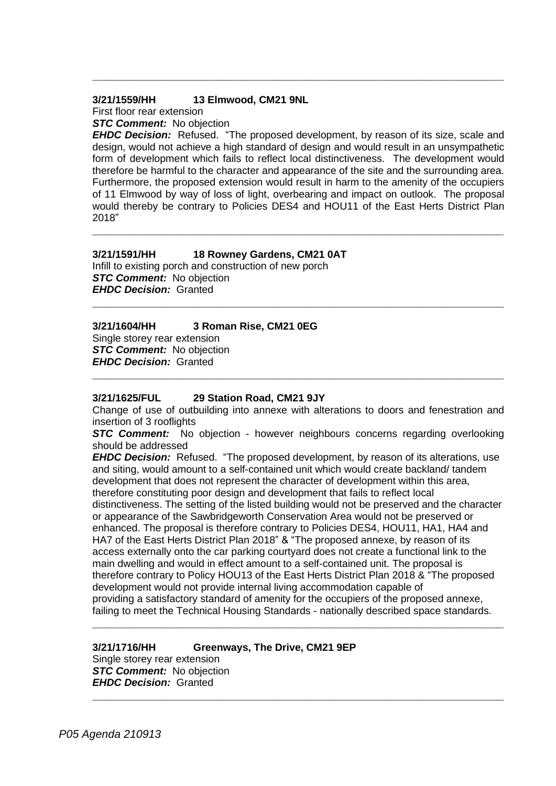#### **3/21/1559/HH 13 Elmwood, CM21 9NL**

First floor rear extension

*STC Comment:* No objection

*EHDC Decision:* Refused. "The proposed development, by reason of its size, scale and design, would not achieve a high standard of design and would result in an unsympathetic form of development which fails to reflect local distinctiveness. The development would therefore be harmful to the character and appearance of the site and the surrounding area. Furthermore, the proposed extension would result in harm to the amenity of the occupiers of 11 Elmwood by way of loss of light, overbearing and impact on outlook. The proposal would thereby be contrary to Policies DES4 and HOU11 of the East Herts District Plan 2018"

**\_\_\_\_\_\_\_\_\_\_\_\_\_\_\_\_\_\_\_\_\_\_\_\_\_\_\_\_\_\_\_\_\_\_\_\_\_\_\_\_\_\_\_\_\_\_\_\_\_\_\_\_\_\_\_\_\_\_\_\_\_\_\_\_\_\_**

**\_\_\_\_\_\_\_\_\_\_\_\_\_\_\_\_\_\_\_\_\_\_\_\_\_\_\_\_\_\_\_\_\_\_\_\_\_\_\_\_\_\_\_\_\_\_\_\_\_\_\_\_\_\_\_\_\_\_\_\_\_\_\_\_\_\_**

**\_\_\_\_\_\_\_\_\_\_\_\_\_\_\_\_\_\_\_\_\_\_\_\_\_\_\_\_\_\_\_\_\_\_\_\_\_\_\_\_\_\_\_\_\_\_\_\_\_\_\_\_\_\_\_\_\_\_\_\_\_\_\_\_\_\_**

## **3/21/1591/HH 18 Rowney Gardens, CM21 0AT**

Infill to existing porch and construction of new porch **STC Comment:** No objection *EHDC Decision:* Granted

## **3/21/1604/HH 3 Roman Rise, CM21 0EG**

Single storey rear extension *STC Comment:* No objection *EHDC Decision:* Granted

## **3/21/1625/FUL 29 Station Road, CM21 9JY**

Change of use of outbuilding into annexe with alterations to doors and fenestration and insertion of 3 rooflights

**\_\_\_\_\_\_\_\_\_\_\_\_\_\_\_\_\_\_\_\_\_\_\_\_\_\_\_\_\_\_\_\_\_\_\_\_\_\_\_\_\_\_\_\_\_\_\_\_\_\_\_\_\_\_\_\_\_\_\_\_\_\_\_\_\_\_**

**STC Comment:** No objection - however neighbours concerns regarding overlooking should be addressed

*EHDC Decision:* Refused. "The proposed development, by reason of its alterations, use and siting, would amount to a self-contained unit which would create backland/ tandem development that does not represent the character of development within this area, therefore constituting poor design and development that fails to reflect local distinctiveness. The setting of the listed building would not be preserved and the character or appearance of the Sawbridgeworth Conservation Area would not be preserved or enhanced. The proposal is therefore contrary to Policies DES4, HOU11, HA1, HA4 and HA7 of the East Herts District Plan 2018" & "The proposed annexe, by reason of its access externally onto the car parking courtyard does not create a functional link to the main dwelling and would in effect amount to a self-contained unit. The proposal is therefore contrary to Policy HOU13 of the East Herts District Plan 2018 & "The proposed development would not provide internal living accommodation capable of providing a satisfactory standard of amenity for the occupiers of the proposed annexe, failing to meet the Technical Housing Standards - nationally described space standards.

**\_\_\_\_\_\_\_\_\_\_\_\_\_\_\_\_\_\_\_\_\_\_\_\_\_\_\_\_\_\_\_\_\_\_\_\_\_\_\_\_\_\_\_\_\_\_\_\_\_\_\_\_\_\_\_\_\_\_\_\_\_\_\_\_\_\_**

**\_\_\_\_\_\_\_\_\_\_\_\_\_\_\_\_\_\_\_\_\_\_\_\_\_\_\_\_\_\_\_\_\_\_\_\_\_\_\_\_\_\_\_\_\_\_\_\_\_\_\_\_\_\_\_\_\_\_\_\_\_\_\_\_\_\_**

#### **3/21/1716/HH Greenways, The Drive, CM21 9EP** Single storey rear extension *STC Comment:* No objection *EHDC Decision:* Granted